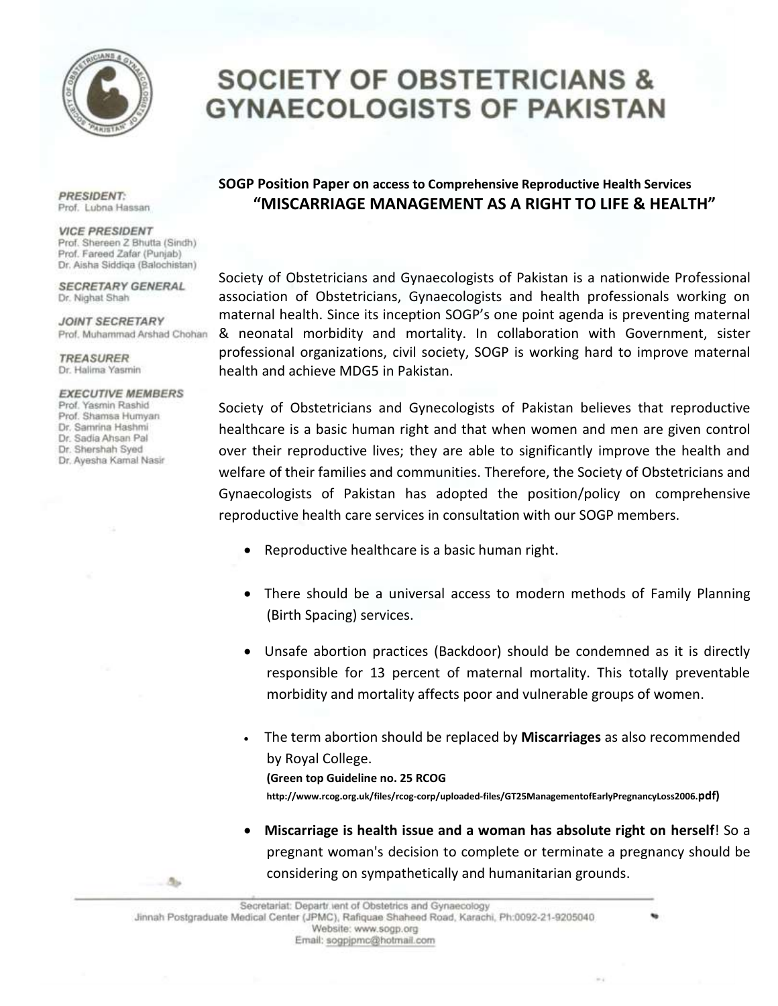

## **SOCIETY OF OBSTETRICIANS & GYNAECOLOGISTS OF PAKISTAN**

**PRESIDENT:** Prof. Lubna Hassan

**VICE PRESIDENT** Prof. Shereen Z Bhutta (Sindh) Prof. Fareed Zafar (Punjab) Dr. Aisha Siddiga (Balochistan)

**SECRETARY GENERAL** Dr. Nighat Shah

**JOINT SECRETARY** Prof. Muhammad Arshad Chohan

**TREASURER** Dr. Halima Yasmin

**EXECUTIVE MEMBERS** Prof. Yasmin Rashid

- 4

Prof. Shamsa Humyan Dr. Samrina Hashmi Dr. Sadia Ahsan Pal Dr. Shershah Syed Dr. Ayesha Kamal Nasir

## **SOGP Position Paper on access to Comprehensive Reproductive Health Services "MISCARRIAGE MANAGEMENT AS A RIGHT TO LIFE & HEALTH"**

Society of Obstetricians and Gynaecologists of Pakistan is a nationwide Professional association of Obstetricians, Gynaecologists and health professionals working on maternal health. Since its inception SOGP's one point agenda is preventing maternal & neonatal morbidity and mortality. In collaboration with Government, sister professional organizations, civil society, SOGP is working hard to improve maternal health and achieve MDG5 in Pakistan.

Society of Obstetricians and Gynecologists of Pakistan believes that reproductive healthcare is a basic human right and that when women and men are given control over their reproductive lives; they are able to significantly improve the health and welfare of their families and communities. Therefore, the Society of Obstetricians and Gynaecologists of Pakistan has adopted the position/policy on comprehensive reproductive health care services in consultation with our SOGP members.

- Reproductive healthcare is a basic human right.
- There should be a universal access to modern methods of Family Planning (Birth Spacing) services.
- Unsafe abortion practices (Backdoor) should be condemned as it is directly responsible for 13 percent of maternal mortality. This totally preventable morbidity and mortality affects poor and vulnerable groups of women.
- The term abortion should be replaced by **Miscarriages** as also recommended by Royal College. **(Green top Guideline no. 25 RCOG http://www.rcog.org.uk/files/rcog-corp/uploaded-files/GT25ManagementofEarlyPregnancyLoss2006.pdf)**
- **Miscarriage is health issue and a woman has absolute right on herself**! So a pregnant woman's decision to complete or terminate a pregnancy should be considering on sympathetically and humanitarian grounds.